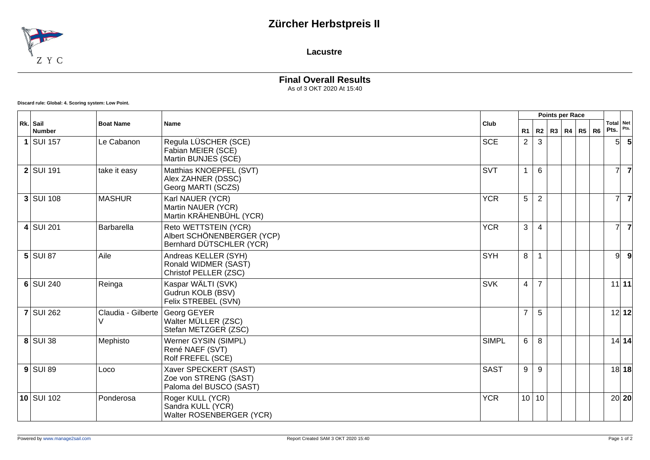## **Zürcher Herbstpreis II**



**Lacustre**

**Final Overall Results** As of 3 OKT 2020 At 15:40

**Discard rule: Global: 4. Scoring system: Low Point.**

| Rk. Sail<br><b>Number</b> | <b>Boat Name</b>        | <b>Name</b>                                                                    | Club         |                |                | Points per Race   |  |                |                   |                |
|---------------------------|-------------------------|--------------------------------------------------------------------------------|--------------|----------------|----------------|-------------------|--|----------------|-------------------|----------------|
|                           |                         |                                                                                |              | R <sub>1</sub> |                | R2   R3   R4   R5 |  | R <sub>6</sub> | Total Net<br>Pts. | Pts.           |
| $1$ SUI 157               | Le Cabanon              | Regula LÜSCHER (SCE)<br>Fabian MEIER (SCE)<br>Martin BUNJES (SCE)              | <b>SCE</b>   | $\overline{2}$ | 3              |                   |  |                | 5                 |                |
| $2$ SUI 191               | take it easy            | Matthias KNOEPFEL (SVT)<br>Alex ZAHNER (DSSC)<br>Georg MARTI (SCZS)            | <b>SVT</b>   |                | 6              |                   |  |                |                   | 7              |
| $3$ SUI 108               | <b>MASHUR</b>           | Karl NAUER (YCR)<br>Martin NAUER (YCR)<br>Martin KRÄHENBÜHL (YCR)              | <b>YCR</b>   | 5              | $\overline{2}$ |                   |  |                |                   | $\overline{7}$ |
| $4$ SUI 201               | Barbarella              | Reto WETTSTEIN (YCR)<br>Albert SCHÖNENBERGER (YCP)<br>Bernhard DÜTSCHLER (YCR) | <b>YCR</b>   | 3              | 4              |                   |  |                | 7                 | $\overline{7}$ |
| $5$ SUI 87                | Aile                    | Andreas KELLER (SYH)<br>Ronald WIDMER (SAST)<br>Christof PELLER (ZSC)          | <b>SYH</b>   | 8              |                |                   |  |                | 9                 | 9              |
| $6$ SUI 240               | Reinga                  | Kaspar WÄLTI (SVK)<br>Gudrun KOLB (BSV)<br>Felix STREBEL (SVN)                 | <b>SVK</b>   | $\overline{4}$ | $\overline{7}$ |                   |  |                |                   | $11$ 11        |
| <b>7 SUI 262</b>          | Claudia - Gilberte<br>V | Georg GEYER<br>Walter MÜLLER (ZSC)<br>Stefan METZGER (ZSC)                     |              | $\overline{7}$ | 5              |                   |  |                |                   | 12 12          |
| 8 SUI 38                  | Mephisto                | Werner GYSIN (SIMPL)<br>René NAEF (SVT)<br>Rolf FREFEL (SCE)                   | <b>SIMPL</b> | 6              | 8              |                   |  |                |                   | 14 14          |
| $9$ SUI 89                | Loco                    | Xaver SPECKERT (SAST)<br>Zoe von STRENG (SAST)<br>Paloma del BUSCO (SAST)      | <b>SAST</b>  | 9              | 9              |                   |  |                |                   | 18 18          |
| $10$ SUI 102              | Ponderosa               | Roger KULL (YCR)<br>Sandra KULL (YCR)<br>Walter ROSENBERGER (YCR)              | <b>YCR</b>   |                | 10 10          |                   |  |                |                   | 20 20          |